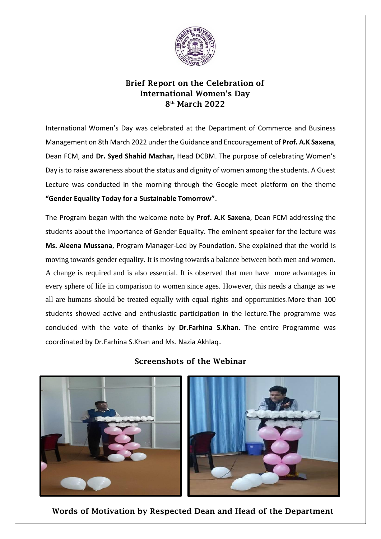

## Brief Report on the Celebration of International Women's Day 8 th March 2022

International Women's Day was celebrated at the Department of Commerce and Business Management on 8th March 2022 under the Guidance and Encouragement of **Prof. A.K Saxena**, Dean FCM, and **Dr. Syed Shahid Mazhar,** Head DCBM. The purpose of celebrating Women's Day is to raise awareness about the status and dignity of women among the students. A Guest Lecture was conducted in the morning through the Google meet platform on the theme **"Gender Equality Today for a Sustainable Tomorrow"**.

The Program began with the welcome note by **Prof. A.K Saxena**, Dean FCM addressing the students about the importance of Gender Equality. The eminent speaker for the lecture was **Ms. Aleena Mussana**, Program Manager-Led by Foundation. She explained that the world is moving towards gender equality. It is moving towards a balance between both men and women. A change is required and is also essential. It is observed that men have more advantages in every sphere of life in comparison to women since ages. However, this needs a change as we all are humans should be treated equally with equal rights and opportunities.More than 100 students showed active and enthusiastic participation in the lecture.The programme was concluded with the vote of thanks by **Dr.Farhina S.Khan**. The entire Programme was coordinated by Dr.Farhina S.Khan and Ms. Nazia Akhlaq.



## Screenshots of the Webinar

Words of Motivation by Respected Dean and Head of the Department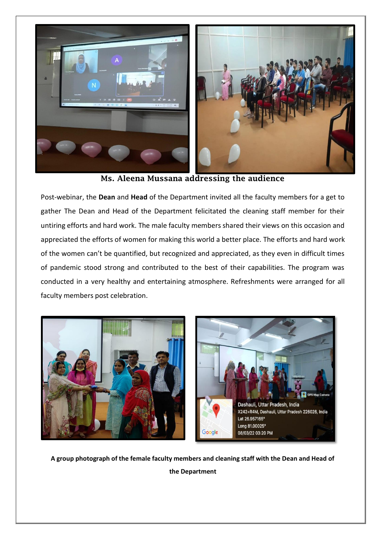

Ms. Aleena Mussana addressing the audience

Post-webinar, the **Dean** and **Head** of the Department invited all the faculty members for a get to gather The Dean and Head of the Department felicitated the cleaning staff member for their untiring efforts and hard work. The male faculty members shared their views on this occasion and appreciated the efforts of women for making this world a better place. The efforts and hard work of the women can't be quantified, but recognized and appreciated, as they even in difficult times of pandemic stood strong and contributed to the best of their capabilities. The program was conducted in a very healthy and entertaining atmosphere. Refreshments were arranged for all faculty members post celebration.



**A group photograph of the female faculty members and cleaning staff with the Dean and Head of the Department**

֧֖֖֖֖֚֚֚֚֞֝֬